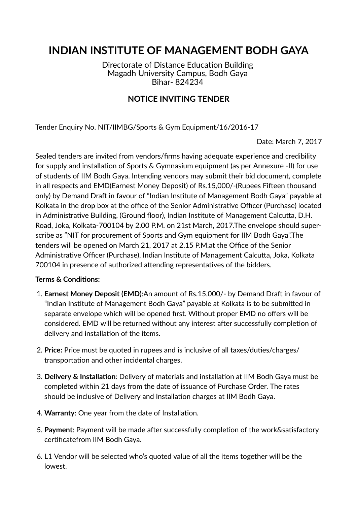# **INDIAN INSTITUTE OF MANAGEMENT BODH GAYA**

Directorate of Distance Education Building Magadh University Campus, Bodh Gaya Bihar- 824234

### **NOTICE INVITING TENDER**

Tender Enquiry No. NIT/IIMBG/Sports & Gym Equipment/16/2016-17

Date: March 7, 2017

Sealed tenders are invited from vendors/firms having adequate experience and credibility for supply and installation of Sports & Gymnasium equipment (as per Annexure -II) for use of students of IIM Bodh Gaya. Intending vendors may submit their bid document, complete in all respects and EMD(Earnest Money Deposit) of Rs.15,000/-(Rupees Fifteen thousand only) by Demand Draft in favour of "Indian Institute of Management Bodh Gaya" payable at Kolkata in the drop box at the office of the Senior Administrative Officer (Purchase) located in Administrative Building, (Ground floor), Indian Institute of Management Calcutta, D.H. Road, Joka, Kolkata-700104 by 2.00 P.M. on 21st March, 2017.The envelope should superscribe as "NIT for procurement of Sports and Gym equipment for IIM Bodh Gaya".The tenders will be opened on March 21, 2017 at 2.15 P.M. at the Office of the Senior Administrative Officer (Purchase), Indian Institute of Management Calcutta, Joka, Kolkata 700104 in presence of authorized attending representatives of the bidders.

#### **Terms & Conditions:**

- 1. **Earnest Money Deposit (EMD):**An amount of Rs.15,000/- by Demand Draft in favour of "Indian Institute of Management Bodh Gaya" payable at Kolkata is to be submitted in separate envelope which will be opened first. Without proper EMD no offers will be considered. EMD will be returned without any interest after successfully completion of delivery and installation of the items.
- 2. **Price:** Price must be quoted in rupees and is inclusive of all taxes/duties/charges/ transportation and other incidental charges.
- 3. **Delivery & Installation**: Delivery of materials and installation at IIM Bodh Gaya must be completed within 21 days from the date of issuance of Purchase Order. The rates should be inclusive of Delivery and Installation charges at IIM Bodh Gaya.
- 4. Warranty: One year from the date of Installation.
- 5. Payment: Payment will be made after successfully completion of the work&satisfactory certificatefrom IIM Bodh Gava.
- 6. L1 Vendor will be selected who's quoted value of all the items together will be the lowest.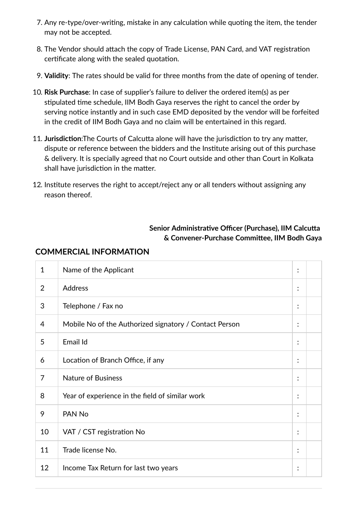- 7. Any re-type/over-writing, mistake in any calculation while quoting the item, the tender may not be accepted.
- 8. The Vendor should attach the copy of Trade License, PAN Card, and VAT registration certificate along with the sealed quotation.
- 9. **Validity**: The rates should be valid for three months from the date of opening of tender.
- 10. **Risk Purchase**: In case of supplier's failure to deliver the ordered item(s) as per stipulated time schedule, IIM Bodh Gaya reserves the right to cancel the order by serving notice instantly and in such case EMD deposited by the vendor will be forfeited in the credit of IIM Bodh Gaya and no claim will be entertained in this regard.
- 11. Jurisdiction: The Courts of Calcutta alone will have the jurisdiction to try any matter, dispute or reference between the bidders and the Institute arising out of this purchase & delivery. It is specially agreed that no Court outside and other than Court in Kolkata shall have jurisdiction in the matter.
- 12. Institute reserves the right to accept/reject any or all tenders without assigning any reason thereof.

#### **Senior Administrative Officer (Purchase), IIM Calcutta & Convener-Purchase Commiee, IIM Bodh Gaya**

| $\mathbf{1}$ | Name of the Applicant                                  | $\ddot{\cdot}$         |  |
|--------------|--------------------------------------------------------|------------------------|--|
| 2            | <b>Address</b>                                         | $\bullet$<br>$\bullet$ |  |
| 3            | Telephone / Fax no                                     | $\ddot{\cdot}$         |  |
| 4            | Mobile No of the Authorized signatory / Contact Person | $\ddot{\cdot}$         |  |
| 5            | Email Id                                               | :                      |  |
| 6            | Location of Branch Office, if any                      | :                      |  |
| 7            | <b>Nature of Business</b>                              | $\bullet$<br>$\bullet$ |  |
| 8            | Year of experience in the field of similar work        | ÷                      |  |
| 9            | PAN No                                                 | $\ddot{\cdot}$         |  |
| 10           | VAT / CST registration No                              | $\ddot{\cdot}$         |  |
| 11           | Trade license No.                                      | $\ddot{\cdot}$         |  |
| 12           | Income Tax Return for last two years                   | $\bullet$<br>$\bullet$ |  |

#### **COMMERCIAL INFORMATION**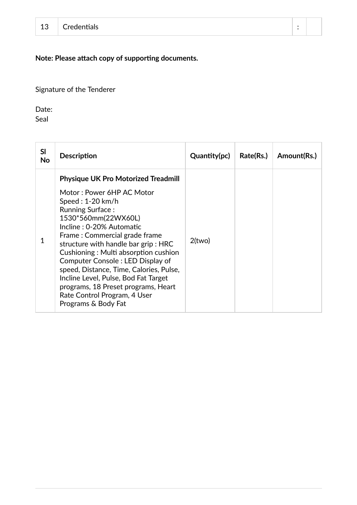## **Note: Please attach copy of supporting documents.**

Signature of the Tenderer

Date:

Seal

| SI<br>No | <b>Description</b>                                                                                                                                                                                                                                                                                                                                                                                                                                                                                                | Quantity(pc) | Rate(Rs.) | Amount(Rs.) |
|----------|-------------------------------------------------------------------------------------------------------------------------------------------------------------------------------------------------------------------------------------------------------------------------------------------------------------------------------------------------------------------------------------------------------------------------------------------------------------------------------------------------------------------|--------------|-----------|-------------|
| 1        | <b>Physique UK Pro Motorized Treadmill</b><br>Motor: Power 6HP AC Motor<br>Speed: $1-20$ km/h<br><b>Running Surface:</b><br>1530*560mm(22WX60L)<br>Incline : 0-20% Automatic<br>Frame: Commercial grade frame<br>structure with handle bar grip: HRC<br>Cushioning: Multi absorption cushion<br>Computer Console: LED Display of<br>speed, Distance, Time, Calories, Pulse,<br>Incline Level, Pulse, Bod Fat Target<br>programs, 18 Preset programs, Heart<br>Rate Control Program, 4 User<br>Programs & Body Fat | $2$ (two)    |           |             |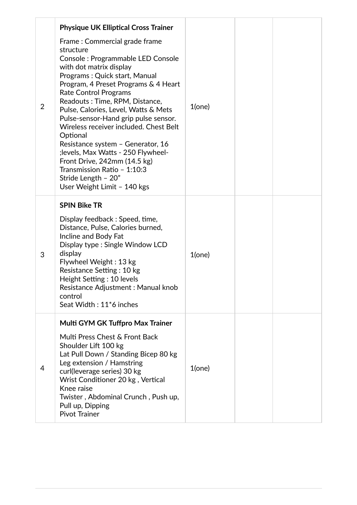|                | <b>Physique UK Elliptical Cross Trainer</b>                                                                                                                                                                                                                                                                                                                                                                                                                                                                                                                                                  |           |  |
|----------------|----------------------------------------------------------------------------------------------------------------------------------------------------------------------------------------------------------------------------------------------------------------------------------------------------------------------------------------------------------------------------------------------------------------------------------------------------------------------------------------------------------------------------------------------------------------------------------------------|-----------|--|
| $\overline{2}$ | Frame: Commercial grade frame<br>structure<br>Console: Programmable LED Console<br>with dot matrix display<br>Programs: Quick start, Manual<br>Program, 4 Preset Programs & 4 Heart<br><b>Rate Control Programs</b><br>Readouts: Time, RPM, Distance,<br>Pulse, Calories, Level, Watts & Mets<br>Pulse-sensor-Hand grip pulse sensor.<br>Wireless receiver included. Chest Belt<br>Optional<br>Resistance system - Generator, 16<br>; levels, Max Watts - 250 Flywheel-<br>Front Drive, 242mm (14.5 kg)<br>Transmission Ratio - 1:10:3<br>Stride Length - 20"<br>User Weight Limit - 140 kgs | $1$ (one) |  |
| 3              | <b>SPIN Bike TR</b><br>Display feedback: Speed, time,<br>Distance, Pulse, Calories burned,<br>Incline and Body Fat<br>Display type : Single Window LCD<br>display<br>Flywheel Weight: 13 kg<br>Resistance Setting: 10 kg<br>Height Setting: 10 levels<br>Resistance Adjustment : Manual knob<br>control<br>Seat Width: 11 <sup>*</sup> 6 inches                                                                                                                                                                                                                                              | $1$ (one) |  |
| 4              | Multi GYM GK Tuffpro Max Trainer<br>Multi Press Chest & Front Back<br>Shoulder Lift 100 kg<br>Lat Pull Down / Standing Bicep 80 kg<br>Leg extension / Hamstring<br>curl(leverage series) 30 kg<br>Wrist Conditioner 20 kg, Vertical<br>Knee raise<br>Twister, Abdominal Crunch, Push up,<br>Pull up, Dipping<br><b>Pivot Trainer</b>                                                                                                                                                                                                                                                         | $1$ (one) |  |